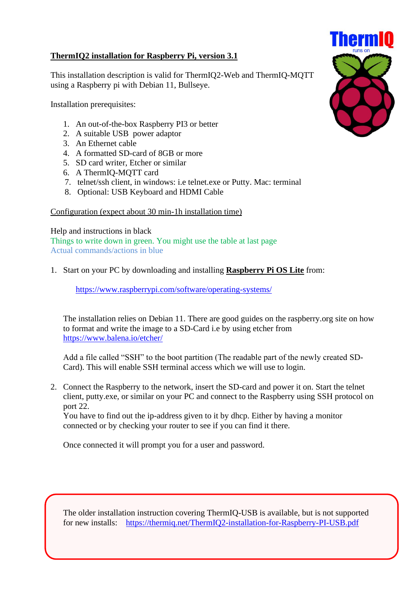## **ThermIQ2 installation for Raspberry Pi, version 3.1**

This installation description is valid for ThermIQ2-Web and ThermIQ-MQTT using a Raspberry pi with Debian 11, Bullseye.

Installation prerequisites:

- 1. An out-of-the-box Raspberry PI3 or better
- 2. A suitable USB power adaptor
- 3. An Ethernet cable
- 4. A formatted SD-card of 8GB or more
- 5. SD card writer, Etcher or similar
- 6. A ThermIQ-MQTT card
- 7. telnet/ssh client, in windows: i.e telnet.exe or Putty. Mac: terminal
- 8. Optional: USB Keyboard and HDMI Cable

## Configuration (expect about 30 min-1h installation time)

Help and instructions in black Things to write down in green. You might use the table at last page Actual commands/actions in blue

## 1. Start on your PC by downloading and installing **Raspberry Pi OS Lite** from:

<https://www.raspberrypi.com/software/operating-systems/>

The installation relies on Debian 11. There are good guides on the raspberry.org site on how to format and write the image to a SD-Card i.e by using etcher from <https://www.balena.io/etcher/>

Add a file called "SSH" to the boot partition (The readable part of the newly created SD-Card). This will enable SSH terminal access which we will use to login.

2. Connect the Raspberry to the network, insert the SD-card and power it on. Start the telnet client, putty.exe, or similar on your PC and connect to the Raspberry using SSH protocol on port 22.

You have to find out the ip-address given to it by dhcp. Either by having a monitor connected or by checking your router to see if you can find it there.

Once connected it will prompt you for a user and password.

The older installation instruction covering ThermIQ-USB is available, but is not supported for new installs: <https://thermiq.net/ThermIQ2-installation-for-Raspberry-PI-USB.pdf>

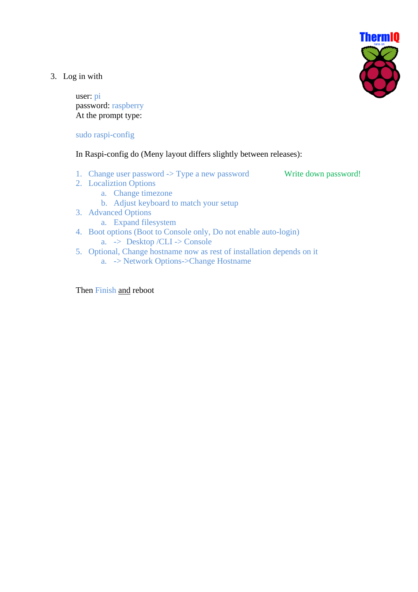**ThermIQ** 

3. Log in with

user: pi password: raspberry At the prompt type:

sudo raspi-config

In Raspi-config do (Meny layout differs slightly between releases):

1. Change user password  $\rightarrow$  Type a new password Write down password!

- 2. Localiztion Options
	- a. Change timezone
		- b. Adjust keyboard to match your setup
- 3. Advanced Options
	- a. Expand filesystem
- 4. Boot options (Boot to Console only, Do not enable auto-login)
	- a. -> Desktop /CLI -> Console
- 5. Optional, Change hostname now as rest of installation depends on it
	- a. -> Network Options->Change Hostname

Then Finish and reboot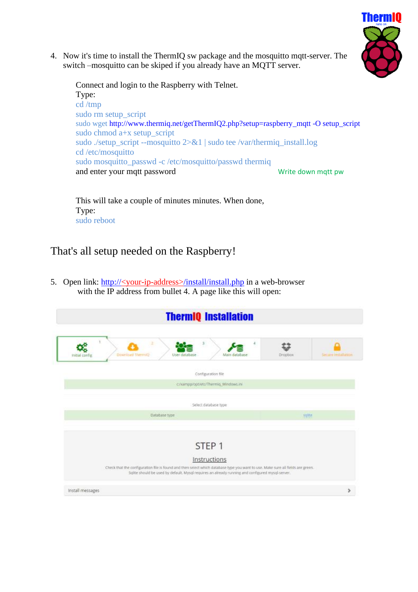

4. Now it's time to install the ThermIQ sw package and the mosquitto mqtt-server. The switch –mosquitto can be skiped if you already have an MQTT server.

Connect and login to the Raspberry with Telnet. Type: cd /tmp sudo rm setup script sudo wget http://www.thermiq.net/getThermIQ2.php?setup=raspberry\_mqtt -O setup\_script sudo chmod a+x setup\_script sudo ./setup\_script --mosquitto 2>&1 | sudo tee /var/thermiq\_install.log cd /etc/mosquitto sudo mosquitto\_passwd -c /etc/mosquitto/passwd thermiq and enter your mqtt password Write down mqtt pw

This will take a couple of minutes minutes. When done, Type: sudo reboot

## That's all setup needed on the Raspberry!

5. Open link: http://<your-ip-address>/install/install.php in a web-browser with the IP address from bullet 4. A page like this will open:

| S.<br>2<br>4<br>Download Thermit)<br>Main database<br>User database<br>tribal config.                                                                                                                                                                                    | Dropbox | <b>Secure installation</b> |
|--------------------------------------------------------------------------------------------------------------------------------------------------------------------------------------------------------------------------------------------------------------------------|---------|----------------------------|
| Configuration file                                                                                                                                                                                                                                                       |         |                            |
| c/kaimppropt/etc/Thermig_Windows.ini                                                                                                                                                                                                                                     |         |                            |
| Select database type                                                                                                                                                                                                                                                     |         |                            |
| Database type                                                                                                                                                                                                                                                            | sqine   |                            |
| STEP <sub>1</sub><br>Instructions<br>Check that the configuration file is found and then select which database type you want to use. Make sure all fields are green.<br>Solite should be used by default. Mysql requires an already running and configured mysql-server. |         |                            |
|                                                                                                                                                                                                                                                                          |         |                            |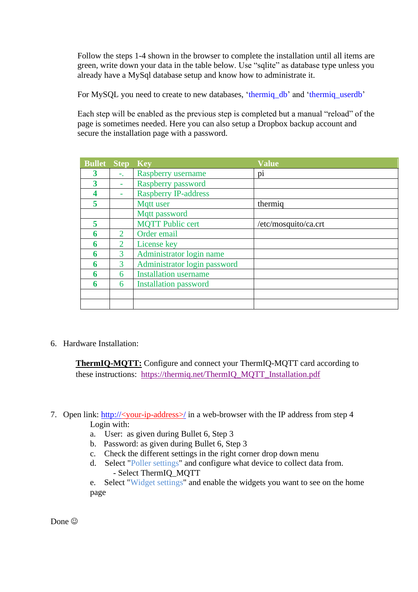Follow the steps 1-4 shown in the browser to complete the installation until all items are green, write down your data in the table below. Use "sqlite" as database type unless you already have a MySql database setup and know how to administrate it.

For MySQL you need to create to new databases, 'thermiq\_db' and 'thermiq\_userdb'

Each step will be enabled as the previous step is completed but a manual "reload" of the page is sometimes needed. Here you can also setup a Dropbox backup account and secure the installation page with a password.

| <b>Bullet</b> | <b>Step</b>                 | <b>Key</b>                   | <b>Value</b>         |
|---------------|-----------------------------|------------------------------|----------------------|
| 3             | ÷.                          | Raspberry username           | pi                   |
| 3             | ۰                           | Raspberry password           |                      |
|               |                             | <b>Raspberry IP-address</b>  |                      |
| 5             |                             | Mqtt user                    | thermig              |
|               |                             | Mqtt password                |                      |
| 5             |                             | <b>MQTT Public cert</b>      | /etc/mosquito/ca.crt |
| 6             | $\mathcal{D}_{\mathcal{L}}$ | Order email                  |                      |
| 6             | 2                           | License key                  |                      |
| 6             | 3                           | Administrator login name     |                      |
| 6             | 3                           | Administrator login password |                      |
| 6             | 6                           | <b>Installation username</b> |                      |
| 6             | 6                           | <b>Installation password</b> |                      |
|               |                             |                              |                      |
|               |                             |                              |                      |

6. Hardware Installation:

**ThermIQ-MQTT:** Configure and connect your ThermIQ-MQTT card according to these instructions: [https://thermiq.net/ThermIQ\\_MQTT\\_Installation.pdf](https://thermiq.net/ThermIQ_MQTT_Installation.pdf)

- 7. Open link: http://<your-ip-address>/ in a web-browser with the IP address from step 4 Login with:
	- a. User: as given during Bullet 6, Step 3
	- b. Password: as given during Bullet 6, Step 3
	- c. Check the different settings in the right corner drop down menu
	- d. Select "Poller settings" and configure what device to collect data from. - Select ThermIQ\_MQTT

e. Select "Widget settings" and enable the widgets you want to see on the home page

Done<sup>(C)</sup>